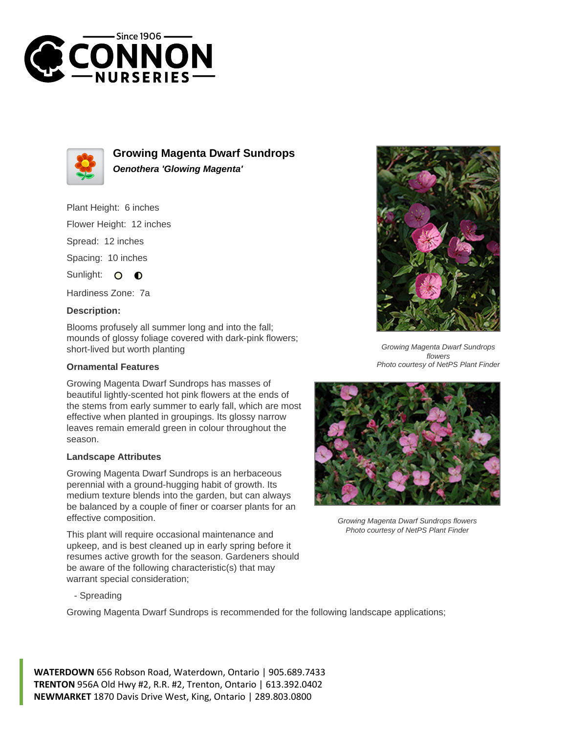



**Growing Magenta Dwarf Sundrops Oenothera 'Glowing Magenta'**

# Plant Height: 6 inches

Flower Height: 12 inches

Spread: 12 inches

Spacing: 10 inches

Sunlight: O  $\bullet$ 

Hardiness Zone: 7a

### **Description:**

Blooms profusely all summer long and into the fall; mounds of glossy foliage covered with dark-pink flowers; short-lived but worth planting

### **Ornamental Features**

Growing Magenta Dwarf Sundrops has masses of beautiful lightly-scented hot pink flowers at the ends of the stems from early summer to early fall, which are most effective when planted in groupings. Its glossy narrow leaves remain emerald green in colour throughout the season.

#### **Landscape Attributes**

Growing Magenta Dwarf Sundrops is an herbaceous perennial with a ground-hugging habit of growth. Its medium texture blends into the garden, but can always be balanced by a couple of finer or coarser plants for an effective composition.

This plant will require occasional maintenance and upkeep, and is best cleaned up in early spring before it resumes active growth for the season. Gardeners should be aware of the following characteristic(s) that may warrant special consideration;



Growing Magenta Dwarf Sundrops is recommended for the following landscape applications;

**WATERDOWN** 656 Robson Road, Waterdown, Ontario | 905.689.7433 **TRENTON** 956A Old Hwy #2, R.R. #2, Trenton, Ontario | 613.392.0402 **NEWMARKET** 1870 Davis Drive West, King, Ontario | 289.803.0800



Growing Magenta Dwarf Sundrops flowers Photo courtesy of NetPS Plant Finder



Growing Magenta Dwarf Sundrops flowers Photo courtesy of NetPS Plant Finder